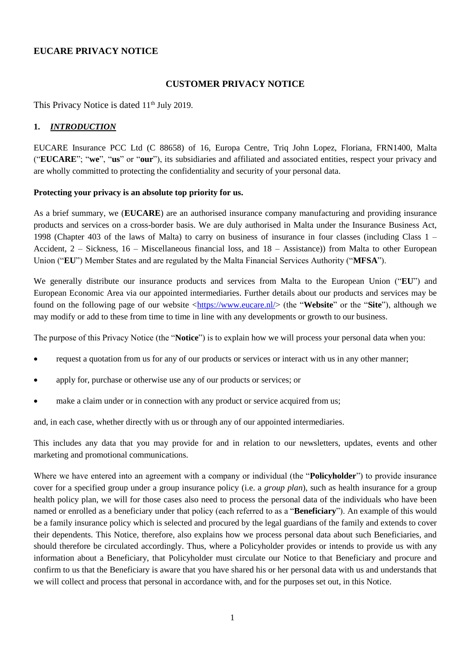# **EUCARE PRIVACY NOTICE**

## **CUSTOMER PRIVACY NOTICE**

This Privacy Notice is dated 11<sup>th</sup> July 2019.

### **1.** *INTRODUCTION*

EUCARE Insurance PCC Ltd (C 88658) of 16, Europa Centre, Triq John Lopez, Floriana, FRN1400, Malta ("**EUCARE**"; "**we**", "**us**" or "**our**"), its subsidiaries and affiliated and associated entities, respect your privacy and are wholly committed to protecting the confidentiality and security of your personal data.

#### **Protecting your privacy is an absolute top priority for us.**

As a brief summary, we (**EUCARE**) are an authorised insurance company manufacturing and providing insurance products and services on a cross-border basis. We are duly authorised in Malta under the Insurance Business Act, 1998 (Chapter 403 of the laws of Malta) to carry on business of insurance in four classes (including Class 1 – Accident, 2 – Sickness, 16 – Miscellaneous financial loss, and 18 – Assistance)) from Malta to other European Union ("**EU**") Member States and are regulated by the Malta Financial Services Authority ("**MFSA**").

We generally distribute our insurance products and services from Malta to the European Union ("**EU**") and European Economic Area via our appointed intermediaries. Further details about our products and services may be found on the following page of our website [<https://www.eucare.nl/>](https://www.eucare.nl/) (the "**Website**" or the "**Site**"), although we may modify or add to these from time to time in line with any developments or growth to our business.

The purpose of this Privacy Notice (the "**Notice**") is to explain how we will process your personal data when you:

- request a quotation from us for any of our products or services or interact with us in any other manner;
- apply for, purchase or otherwise use any of our products or services; or
- make a claim under or in connection with any product or service acquired from us;

and, in each case, whether directly with us or through any of our appointed intermediaries.

This includes any data that you may provide for and in relation to our newsletters, updates, events and other marketing and promotional communications.

Where we have entered into an agreement with a company or individual (the "**Policyholder**") to provide insurance cover for a specified group under a group insurance policy (i.e. a *group plan*), such as health insurance for a group health policy plan, we will for those cases also need to process the personal data of the individuals who have been named or enrolled as a beneficiary under that policy (each referred to as a "**Beneficiary**"). An example of this would be a family insurance policy which is selected and procured by the legal guardians of the family and extends to cover their dependents. This Notice, therefore, also explains how we process personal data about such Beneficiaries, and should therefore be circulated accordingly. Thus, where a Policyholder provides or intends to provide us with any information about a Beneficiary, that Policyholder must circulate our Notice to that Beneficiary and procure and confirm to us that the Beneficiary is aware that you have shared his or her personal data with us and understands that we will collect and process that personal in accordance with, and for the purposes set out, in this Notice.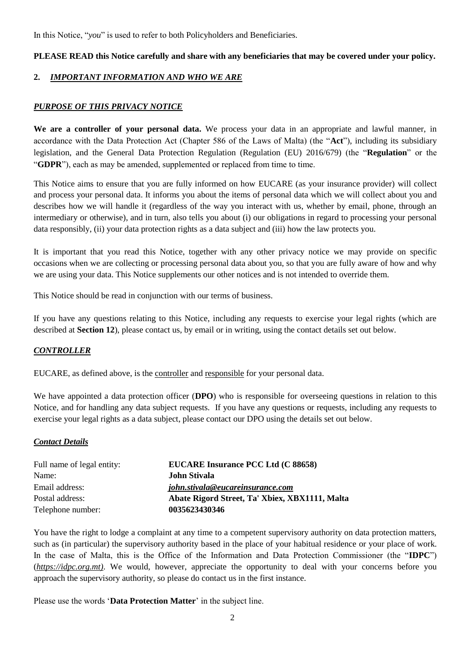In this Notice, "*you*" is used to refer to both Policyholders and Beneficiaries.

### **PLEASE READ this Notice carefully and share with any beneficiaries that may be covered under your policy.**

## **2.** *IMPORTANT INFORMATION AND WHO WE ARE*

### *PURPOSE OF THIS PRIVACY NOTICE*

**We are a controller of your personal data.** We process your data in an appropriate and lawful manner, in accordance with the Data Protection Act (Chapter 586 of the Laws of Malta) (the "**Act**"), including its subsidiary legislation, and the General Data Protection Regulation (Regulation (EU) 2016/679) (the "**Regulation**" or the "**GDPR**"), each as may be amended, supplemented or replaced from time to time.

This Notice aims to ensure that you are fully informed on how EUCARE (as your insurance provider) will collect and process your personal data. It informs you about the items of personal data which we will collect about you and describes how we will handle it (regardless of the way you interact with us, whether by email, phone, through an intermediary or otherwise), and in turn, also tells you about (i) our obligations in regard to processing your personal data responsibly, (ii) your data protection rights as a data subject and (iii) how the law protects you.

It is important that you read this Notice, together with any other privacy notice we may provide on specific occasions when we are collecting or processing personal data about you, so that you are fully aware of how and why we are using your data. This Notice supplements our other notices and is not intended to override them.

This Notice should be read in conjunction with our terms of business.

<span id="page-1-0"></span>If you have any questions relating to this Notice, including any requests to exercise your legal rights (which are described at **Section [12](#page-14-0)**), please contact us, by email or in writing, using the contact details set out below.

### *CONTROLLER*

EUCARE, as defined above, is the controller and responsible for your personal data.

We have appointed a data protection officer (**DPO**) who is responsible for overseeing questions in relation to this Notice, and for handling any data subject requests. If you have any questions or requests, including any requests to exercise your legal rights as a data subject, please contact our DPO using the details set out below.

#### *Contact Details*

| Full name of legal entity: | EUCARE Insurance PCC Ltd (C 88658)<br><b>John Stivala</b> |  |
|----------------------------|-----------------------------------------------------------|--|
| Name:                      |                                                           |  |
| Email address:             | john.stivala@eucareinsurance.com                          |  |
| Postal address:            | Abate Rigord Street, Ta' Xbiex, XBX1111, Malta            |  |
| Telephone number:          | 0035623430346                                             |  |

You have the right to lodge a complaint at any time to a competent supervisory authority on data protection matters, such as (in particular) the supervisory authority based in the place of your habitual residence or your place of work. In the case of Malta, this is the Office of the Information and Data Protection Commissioner (the "**IDPC**") (*[https://idpc.org.mt\)](https://idpc.org.mt)/)*. We would, however, appreciate the opportunity to deal with your concerns before you approach the supervisory authority, so please do contact us in the first instance.

Please use the words '**Data Protection Matter**' in the subject line.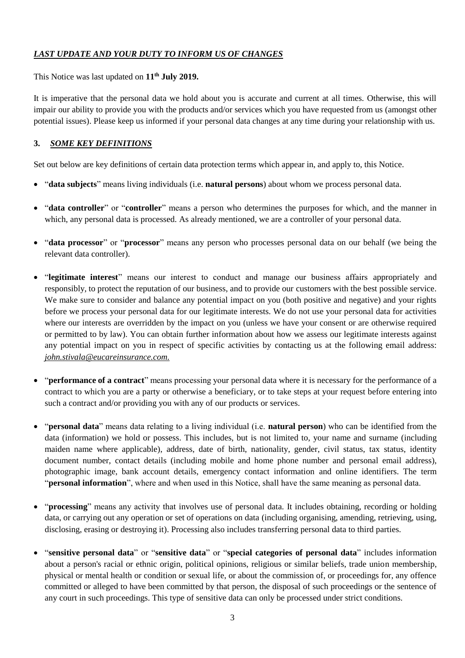### *LAST UPDATE AND YOUR DUTY TO INFORM US OF CHANGES*

This Notice was last updated on **11 th July 2019.**

It is imperative that the personal data we hold about you is accurate and current at all times. Otherwise, this will impair our ability to provide you with the products and/or services which you have requested from us (amongst other potential issues). Please keep us informed if your personal data changes at any time during your relationship with us.

### **3.** *SOME KEY DEFINITIONS*

Set out below are key definitions of certain data protection terms which appear in, and apply to, this Notice.

- "**data subjects**" means living individuals (i.e. **natural persons**) about whom we process personal data.
- "**data controller**" or "**controller**" means a person who determines the purposes for which, and the manner in which, any personal data is processed. As already mentioned, we are a controller of your personal data.
- "**data processor**" or "**processor**" means any person who processes personal data on our behalf (we being the relevant data controller).
- "**legitimate interest**" means our interest to conduct and manage our business affairs appropriately and responsibly, to protect the reputation of our business, and to provide our customers with the best possible service. We make sure to consider and balance any potential impact on you (both positive and negative) and your rights before we process your personal data for our legitimate interests. We do not use your personal data for activities where our interests are overridden by the impact on you (unless we have your consent or are otherwise required or permitted to by law). You can obtain further information about how we assess our legitimate interests against any potential impact on you in respect of specific activities by [contacting](#page-1-0) us at the following email address: *[john.stivala@eucareinsurance.com.](mailto:john_stivala@jltgroup.com)*
- "**performance of a contract**" means processing your personal data where it is necessary for the performance of a contract to which you are a party or otherwise a beneficiary, or to take steps at your request before entering into such a contract and/or providing you with any of our products or services.
- "**personal data**" means data relating to a living individual (i.e. **natural person**) who can be identified from the data (information) we hold or possess. This includes, but is not limited to, your name and surname (including maiden name where applicable), address, date of birth, nationality, gender, civil status, tax status, identity document number, contact details (including mobile and home phone number and personal email address), photographic image, bank account details, emergency contact information and online identifiers. The term "**personal information**", where and when used in this Notice, shall have the same meaning as personal data.
- "**processing**" means any activity that involves use of personal data. It includes obtaining, recording or holding data, or carrying out any operation or set of operations on data (including organising, amending, retrieving, using, disclosing, erasing or destroying it). Processing also includes transferring personal data to third parties.
- "**sensitive personal data**" or "**sensitive data**" or "**special categories of personal data**" includes information about a person's racial or ethnic origin, political opinions, religious or similar beliefs, trade union membership, physical or mental health or condition or sexual life, or about the commission of, or proceedings for, any offence committed or alleged to have been committed by that person, the disposal of such proceedings or the sentence of any court in such proceedings. This type of sensitive data can only be processed under strict conditions.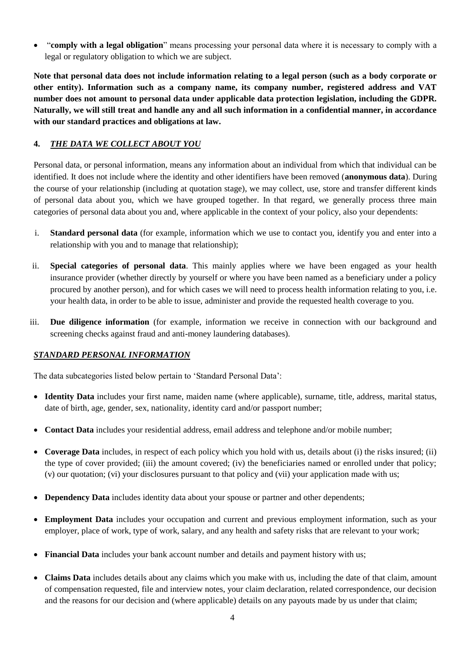• "**comply with a legal obligation**" means processing your personal data where it is necessary to comply with a legal or regulatory obligation to which we are subject.

**Note that personal data does not include information relating to a legal person (such as a body corporate or other entity). Information such as a company name, its company number, registered address and VAT number does not amount to personal data under applicable data protection legislation, including the GDPR. Naturally, we will still treat and handle any and all such information in a confidential manner, in accordance with our standard practices and obligations at law.**

## **4.** *THE DATA WE COLLECT ABOUT YOU*

Personal data, or personal information, means any information about an individual from which that individual can be identified. It does not include where the identity and other identifiers have been removed (**anonymous data**). During the course of your relationship (including at quotation stage), we may collect, use, store and transfer different kinds of personal data about you, which we have grouped together. In that regard, we generally process three main categories of personal data about you and, where applicable in the context of your policy, also your dependents:

- i. **Standard personal data** (for example, information which we use to contact you, identify you and enter into a relationship with you and to manage that relationship);
- ii. **Special categories of personal data**. This mainly applies where we have been engaged as your health insurance provider (whether directly by yourself or where you have been named as a beneficiary under a policy procured by another person), and for which cases we will need to process health information relating to you, i.e. your health data, in order to be able to issue, administer and provide the requested health coverage to you.
- iii. **Due diligence information** (for example, information we receive in connection with our background and screening checks against fraud and anti-money laundering databases).

### *STANDARD PERSONAL INFORMATION*

The data subcategories listed below pertain to 'Standard Personal Data':

- **Identity Data** includes your first name, maiden name (where applicable), surname, title, address, marital status, date of birth, age, gender, sex, nationality, identity card and/or passport number;
- **Contact Data** includes your residential address, email address and telephone and/or mobile number;
- **Coverage Data** includes, in respect of each policy which you hold with us, details about (i) the risks insured; (ii) the type of cover provided; (iii) the amount covered; (iv) the beneficiaries named or enrolled under that policy; (v) our quotation; (vi) your disclosures pursuant to that policy and (vii) your application made with us;
- **Dependency Data** includes identity data about your spouse or partner and other dependents;
- **Employment Data** includes your occupation and current and previous employment information, such as your employer, place of work, type of work, salary, and any health and safety risks that are relevant to your work;
- **Financial Data** includes your bank account number and details and payment history with us;
- **Claims Data** includes details about any claims which you make with us, including the date of that claim, amount of compensation requested, file and interview notes, your claim declaration, related correspondence, our decision and the reasons for our decision and (where applicable) details on any payouts made by us under that claim;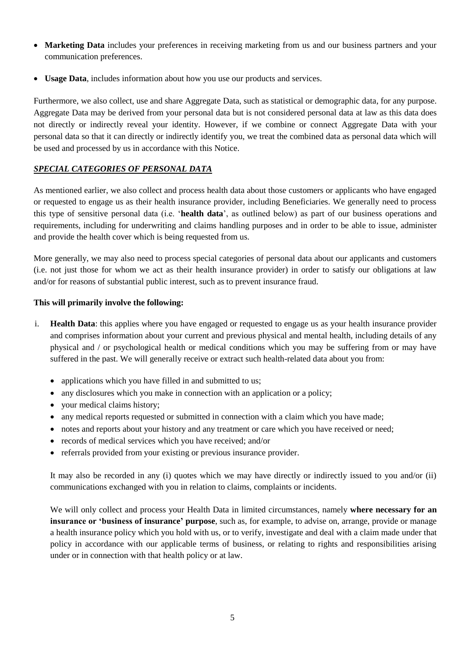- **Marketing Data** includes your preferences in receiving marketing from us and our business partners and your communication preferences.
- **Usage Data**, includes information about how you use our products and services.

Furthermore, we also collect, use and share Aggregate Data, such as statistical or demographic data, for any purpose. Aggregate Data may be derived from your personal data but is not considered personal data at law as this data does not directly or indirectly reveal your identity. However, if we combine or connect Aggregate Data with your personal data so that it can directly or indirectly identify you, we treat the combined data as personal data which will be used and processed by us in accordance with this Notice.

## *SPECIAL CATEGORIES OF PERSONAL DATA*

As mentioned earlier, we also collect and process health data about those customers or applicants who have engaged or requested to engage us as their health insurance provider, including Beneficiaries. We generally need to process this type of sensitive personal data (i.e. '**health data**', as outlined below) as part of our business operations and requirements, including for underwriting and claims handling purposes and in order to be able to issue, administer and provide the health cover which is being requested from us.

More generally, we may also need to process special categories of personal data about our applicants and customers (i.e. not just those for whom we act as their health insurance provider) in order to satisfy our obligations at law and/or for reasons of substantial public interest, such as to prevent insurance fraud.

### **This will primarily involve the following:**

- i. **Health Data**: this applies where you have engaged or requested to engage us as your health insurance provider and comprises information about your current and previous physical and mental health, including details of any physical and / or psychological health or medical conditions which you may be suffering from or may have suffered in the past. We will generally receive or extract such health-related data about you from:
	- applications which you have filled in and submitted to us;
	- any disclosures which you make in connection with an application or a policy;
	- your medical claims history;
	- any medical reports requested or submitted in connection with a claim which you have made;
	- notes and reports about your history and any treatment or care which you have received or need;
	- records of medical services which you have received: and/or
	- referrals provided from your existing or previous insurance provider.

It may also be recorded in any (i) quotes which we may have directly or indirectly issued to you and/or (ii) communications exchanged with you in relation to claims, complaints or incidents.

We will only collect and process your Health Data in limited circumstances, namely **where necessary for an insurance or 'business of insurance' purpose**, such as, for example, to advise on, arrange, provide or manage a health insurance policy which you hold with us, or to verify, investigate and deal with a claim made under that policy in accordance with our applicable terms of business, or relating to rights and responsibilities arising under or in connection with that health policy or at law.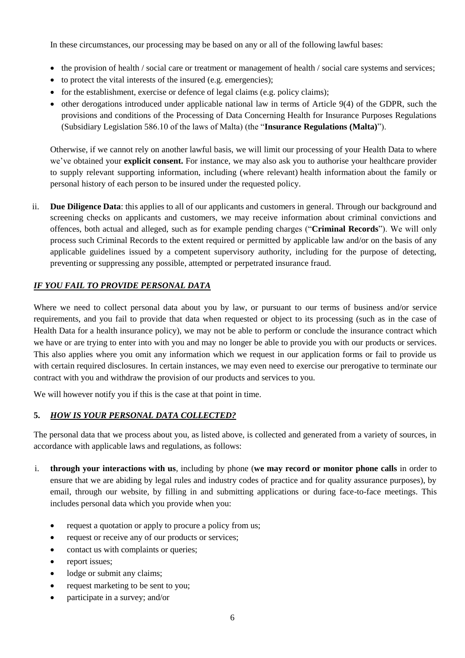In these circumstances, our processing may be based on any or all of the following lawful bases:

- the provision of health / social care or treatment or management of health / social care systems and services;
- to protect the vital interests of the insured (e.g. emergencies);
- for the establishment, exercise or defence of legal claims (e.g. policy claims);
- other derogations introduced under applicable national law in terms of Article 9(4) of the GDPR, such the provisions and conditions of the Processing of Data Concerning Health for Insurance Purposes Regulations (Subsidiary Legislation 586.10 of the laws of Malta) (the "**Insurance Regulations (Malta)**").

Otherwise, if we cannot rely on another lawful basis, we will limit our processing of your Health Data to where we've obtained your **explicit consent.** For instance, we may also ask you to authorise your healthcare provider to supply relevant supporting information, including (where relevant) health information about the family or personal history of each person to be insured under the requested policy.

ii. **Due Diligence Data**: this applies to all of our applicants and customers in general. Through our background and screening checks on applicants and customers, we may receive information about criminal convictions and offences, both actual and alleged, such as for example pending charges ("**Criminal Records**"). We will only process such Criminal Records to the extent required or permitted by applicable law and/or on the basis of any applicable guidelines issued by a competent supervisory authority, including for the purpose of detecting, preventing or suppressing any possible, attempted or perpetrated insurance fraud.

### *IF YOU FAIL TO PROVIDE PERSONAL DATA*

Where we need to collect personal data about you by law, or pursuant to our terms of business and/or service requirements, and you fail to provide that data when requested or object to its processing (such as in the case of Health Data for a health insurance policy), we may not be able to perform or conclude the insurance contract which we have or are trying to enter into with you and may no longer be able to provide you with our products or services. This also applies where you omit any information which we request in our application forms or fail to provide us with certain required disclosures. In certain instances, we may even need to exercise our prerogative to terminate our contract with you and withdraw the provision of our products and services to you.

We will however notify you if this is the case at that point in time.

### **5.** *HOW IS YOUR PERSONAL DATA COLLECTED?*

The personal data that we process about you, as listed above, is collected and generated from a variety of sources, in accordance with applicable laws and regulations, as follows:

- i. **through your interactions with us**, including by phone (**we may record or monitor phone calls** in order to ensure that we are abiding by legal rules and industry codes of practice and for quality assurance purposes), by email, through our website, by filling in and submitting applications or during face-to-face meetings. This includes personal data which you provide when you:
	- request a quotation or apply to procure a policy from us;
	- request or receive any of our products or services;
	- contact us with complaints or queries;
	- report issues;
	- lodge or submit any claims;
	- request marketing to be sent to you;
	- participate in a survey; and/or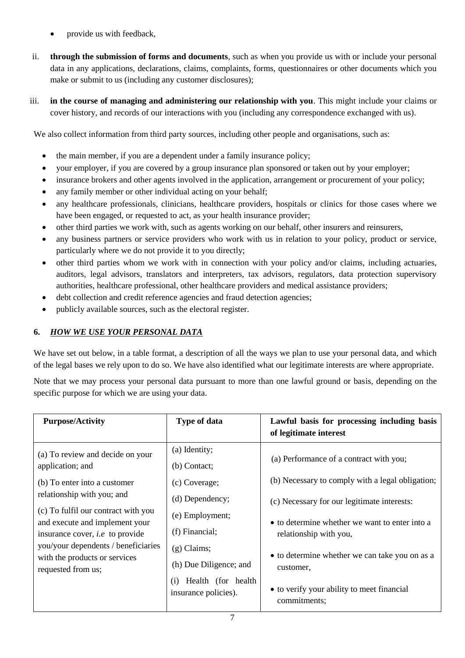- provide us with feedback,
- ii. **through the submission of forms and documents**, such as when you provide us with or include your personal data in any applications, declarations, claims, complaints, forms, questionnaires or other documents which you make or submit to us (including any customer disclosures);
- iii. **in the course of managing and administering our relationship with you**. This might include your claims or cover history, and records of our interactions with you (including any correspondence exchanged with us).

We also collect information from third party sources, including other people and organisations, such as:

- the main member, if you are a dependent under a family insurance policy;
- vour employer, if you are covered by a group insurance plan sponsored or taken out by your employer;
- insurance brokers and other agents involved in the application, arrangement or procurement of your policy;
- any family member or other individual acting on your behalf;
- any healthcare professionals, clinicians, healthcare providers, hospitals or clinics for those cases where we have been engaged, or requested to act, as your health insurance provider;
- other third parties we work with, such as agents working on our behalf, other insurers and reinsurers,
- any business partners or service providers who work with us in relation to your policy, product or service, particularly where we do not provide it to you directly;
- other third parties whom we work with in connection with your policy and/or claims, including actuaries, auditors, legal advisors, translators and interpreters, tax advisors, regulators, data protection supervisory authorities, healthcare professional, other healthcare providers and medical assistance providers;
- debt collection and credit reference agencies and fraud detection agencies;
- publicly available sources, such as the electoral register.

## <span id="page-6-0"></span>**6.** *HOW WE USE YOUR PERSONAL DATA*

We have set out below, in a table format, a description of all the ways we plan to use your personal data, and which of the legal bases we rely upon to do so. We have also identified what our legitimate interests are where appropriate.

Note that we may process your personal data pursuant to more than one lawful ground or basis, depending on the specific purpose for which we are using your data.

| (a) Identity;<br>(a) To review and decide on your<br>(a) Performance of a contract with you;                                                                                                                                                                                                                                                                                                                                                                                                                                                                                                                                                                                                                                                                                                            | Lawful basis for processing including basis |
|---------------------------------------------------------------------------------------------------------------------------------------------------------------------------------------------------------------------------------------------------------------------------------------------------------------------------------------------------------------------------------------------------------------------------------------------------------------------------------------------------------------------------------------------------------------------------------------------------------------------------------------------------------------------------------------------------------------------------------------------------------------------------------------------------------|---------------------------------------------|
| application; and<br>$(b)$ Contact;<br>(b) Necessary to comply with a legal obligation;<br>(b) To enter into a customer<br>(c) Coverage;<br>relationship with you; and<br>(d) Dependency;<br>(c) Necessary for our legitimate interests:<br>(c) To fulfil our contract with you<br>(e) Employment;<br>and execute and implement your<br>• to determine whether we want to enter into a<br>(f) Financial;<br>insurance cover, <i>i.e</i> to provide<br>relationship with you,<br>you/your dependents / beneficiaries<br>$(g)$ Claims;<br>• to determine whether we can take you on as a<br>with the products or services<br>(h) Due Diligence; and<br>customer,<br>requested from us;<br>Health (for health)<br>(i)<br>• to verify your ability to meet financial<br>insurance policies).<br>commitments; |                                             |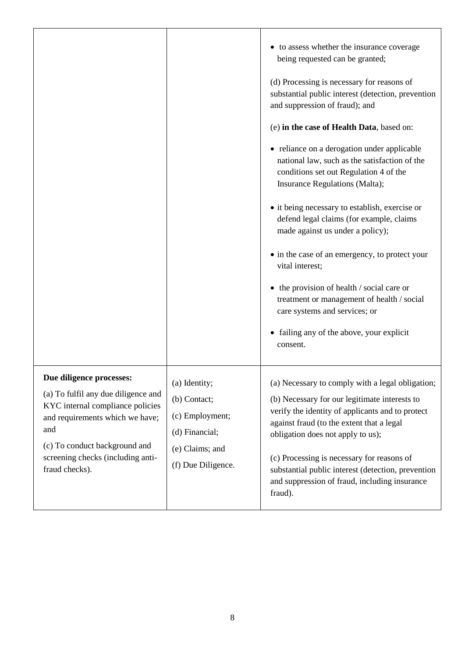|                                                                                                                                                                                                                                       |                                                                                                             | to assess whether the insurance coverage<br>being requested can be granted;<br>(d) Processing is necessary for reasons of<br>substantial public interest (detection, prevention<br>and suppression of fraud); and<br>(e) in the case of Health Data, based on:<br>• reliance on a derogation under applicable<br>national law, such as the satisfaction of the<br>conditions set out Regulation 4 of the<br>Insurance Regulations (Malta);<br>• it being necessary to establish, exercise or<br>defend legal claims (for example, claims<br>made against us under a policy);<br>• in the case of an emergency, to protect your<br>vital interest;<br>the provision of health / social care or<br>$\bullet$<br>treatment or management of health / social<br>care systems and services; or<br>failing any of the above, your explicit<br>consent. |
|---------------------------------------------------------------------------------------------------------------------------------------------------------------------------------------------------------------------------------------|-------------------------------------------------------------------------------------------------------------|--------------------------------------------------------------------------------------------------------------------------------------------------------------------------------------------------------------------------------------------------------------------------------------------------------------------------------------------------------------------------------------------------------------------------------------------------------------------------------------------------------------------------------------------------------------------------------------------------------------------------------------------------------------------------------------------------------------------------------------------------------------------------------------------------------------------------------------------------|
| Due diligence processes:<br>(a) To fulfil any due diligence and<br>KYC internal compliance policies<br>and requirements which we have;<br>and<br>(c) To conduct background and<br>screening checks (including anti-<br>fraud checks). | (a) Identity;<br>(b) Contact;<br>(c) Employment;<br>(d) Financial;<br>(e) Claims; and<br>(f) Due Diligence. | (a) Necessary to comply with a legal obligation;<br>(b) Necessary for our legitimate interests to<br>verify the identity of applicants and to protect<br>against fraud (to the extent that a legal<br>obligation does not apply to us);<br>(c) Processing is necessary for reasons of<br>substantial public interest (detection, prevention<br>and suppression of fraud, including insurance<br>fraud).                                                                                                                                                                                                                                                                                                                                                                                                                                          |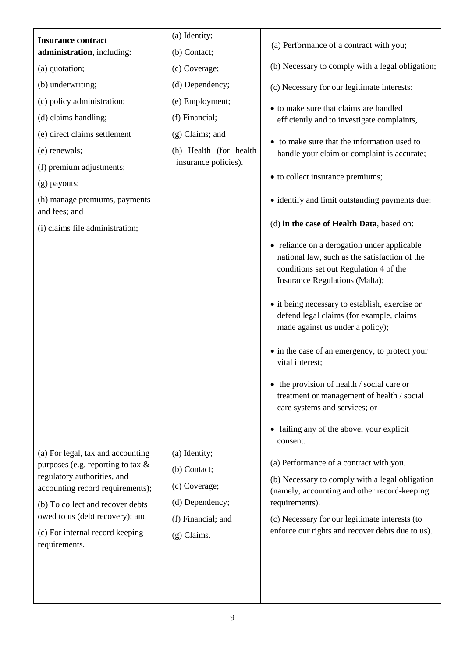|                                                                                                                                                                                                                                                                         | (a) Identity;                                                                                            |                                                                                                                                                                                                                                                                                                                                                                                                                                                                             |
|-------------------------------------------------------------------------------------------------------------------------------------------------------------------------------------------------------------------------------------------------------------------------|----------------------------------------------------------------------------------------------------------|-----------------------------------------------------------------------------------------------------------------------------------------------------------------------------------------------------------------------------------------------------------------------------------------------------------------------------------------------------------------------------------------------------------------------------------------------------------------------------|
| <b>Insurance contract</b><br>administration, including:                                                                                                                                                                                                                 | (b) Contact;                                                                                             | (a) Performance of a contract with you;                                                                                                                                                                                                                                                                                                                                                                                                                                     |
| (a) quotation;                                                                                                                                                                                                                                                          | (c) Coverage;                                                                                            | (b) Necessary to comply with a legal obligation;                                                                                                                                                                                                                                                                                                                                                                                                                            |
| (b) underwriting;                                                                                                                                                                                                                                                       | (d) Dependency;                                                                                          | (c) Necessary for our legitimate interests:                                                                                                                                                                                                                                                                                                                                                                                                                                 |
| (c) policy administration;                                                                                                                                                                                                                                              | (e) Employment;                                                                                          |                                                                                                                                                                                                                                                                                                                                                                                                                                                                             |
| (d) claims handling;                                                                                                                                                                                                                                                    | (f) Financial;                                                                                           | • to make sure that claims are handled<br>efficiently and to investigate complaints,                                                                                                                                                                                                                                                                                                                                                                                        |
| (e) direct claims settlement                                                                                                                                                                                                                                            | $(g)$ Claims; and                                                                                        |                                                                                                                                                                                                                                                                                                                                                                                                                                                                             |
| (e) renewals;                                                                                                                                                                                                                                                           | (h) Health (for health                                                                                   | • to make sure that the information used to<br>handle your claim or complaint is accurate;                                                                                                                                                                                                                                                                                                                                                                                  |
| (f) premium adjustments;                                                                                                                                                                                                                                                | insurance policies).                                                                                     |                                                                                                                                                                                                                                                                                                                                                                                                                                                                             |
| $(g)$ payouts;                                                                                                                                                                                                                                                          |                                                                                                          | • to collect insurance premiums;                                                                                                                                                                                                                                                                                                                                                                                                                                            |
| (h) manage premiums, payments<br>and fees; and                                                                                                                                                                                                                          |                                                                                                          | • identify and limit outstanding payments due;                                                                                                                                                                                                                                                                                                                                                                                                                              |
| (i) claims file administration;                                                                                                                                                                                                                                         |                                                                                                          | (d) in the case of Health Data, based on:                                                                                                                                                                                                                                                                                                                                                                                                                                   |
|                                                                                                                                                                                                                                                                         |                                                                                                          | • reliance on a derogation under applicable<br>national law, such as the satisfaction of the<br>conditions set out Regulation 4 of the<br>Insurance Regulations (Malta);<br>• it being necessary to establish, exercise or<br>defend legal claims (for example, claims<br>made against us under a policy);<br>• in the case of an emergency, to protect your<br>vital interest;<br>• the provision of health / social care or<br>treatment or management of health / social |
|                                                                                                                                                                                                                                                                         |                                                                                                          | care systems and services; or                                                                                                                                                                                                                                                                                                                                                                                                                                               |
|                                                                                                                                                                                                                                                                         |                                                                                                          | • failing any of the above, your explicit<br>consent.                                                                                                                                                                                                                                                                                                                                                                                                                       |
| (a) For legal, tax and accounting<br>purposes (e.g. reporting to tax $\&$<br>regulatory authorities, and<br>accounting record requirements);<br>(b) To collect and recover debts<br>owed to us (debt recovery); and<br>(c) For internal record keeping<br>requirements. | (a) Identity;<br>(b) Contact;<br>(c) Coverage;<br>(d) Dependency;<br>(f) Financial; and<br>$(g)$ Claims. | (a) Performance of a contract with you.<br>(b) Necessary to comply with a legal obligation<br>(namely, accounting and other record-keeping<br>requirements).<br>(c) Necessary for our legitimate interests (to<br>enforce our rights and recover debts due to us).                                                                                                                                                                                                          |
|                                                                                                                                                                                                                                                                         |                                                                                                          |                                                                                                                                                                                                                                                                                                                                                                                                                                                                             |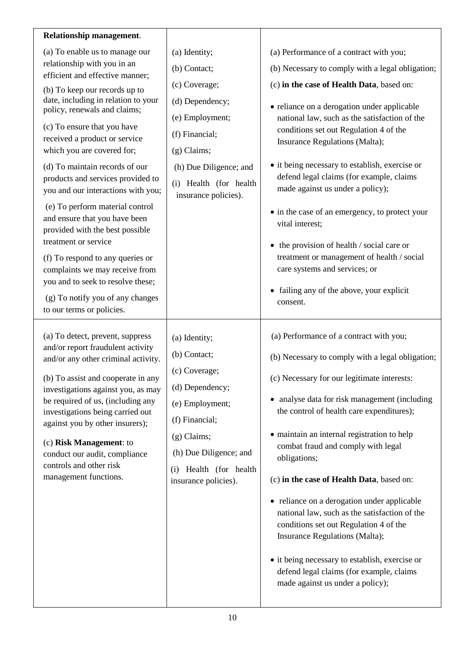| Relationship management.                                                                                                                                                                                                                                                                                                                                                                                                                                                                                                                                                                                                                                                                                                       |                                                                                                                                                                                                        |                                                                                                                                                                                                                                                                                                                                                                                                                                                                                                                                                                                                                                                                                                                           |
|--------------------------------------------------------------------------------------------------------------------------------------------------------------------------------------------------------------------------------------------------------------------------------------------------------------------------------------------------------------------------------------------------------------------------------------------------------------------------------------------------------------------------------------------------------------------------------------------------------------------------------------------------------------------------------------------------------------------------------|--------------------------------------------------------------------------------------------------------------------------------------------------------------------------------------------------------|---------------------------------------------------------------------------------------------------------------------------------------------------------------------------------------------------------------------------------------------------------------------------------------------------------------------------------------------------------------------------------------------------------------------------------------------------------------------------------------------------------------------------------------------------------------------------------------------------------------------------------------------------------------------------------------------------------------------------|
| (a) To enable us to manage our<br>relationship with you in an<br>efficient and effective manner;<br>(b) To keep our records up to<br>date, including in relation to your<br>policy, renewals and claims;<br>(c) To ensure that you have<br>received a product or service<br>which you are covered for;<br>(d) To maintain records of our<br>products and services provided to<br>you and our interactions with you;<br>(e) To perform material control<br>and ensure that you have been<br>provided with the best possible<br>treatment or service<br>(f) To respond to any queries or<br>complaints we may receive from<br>you and to seek to resolve these;<br>(g) To notify you of any changes<br>to our terms or policies. | (a) Identity;<br>(b) Contact;<br>(c) Coverage;<br>(d) Dependency;<br>(e) Employment;<br>(f) Financial;<br>$(g)$ Claims;<br>(h) Due Diligence; and<br>(i) Health (for health<br>insurance policies).    | (a) Performance of a contract with you;<br>(b) Necessary to comply with a legal obligation;<br>(c) in the case of Health Data, based on:<br>• reliance on a derogation under applicable<br>national law, such as the satisfaction of the<br>conditions set out Regulation 4 of the<br>Insurance Regulations (Malta);<br>• it being necessary to establish, exercise or<br>defend legal claims (for example, claims<br>made against us under a policy);<br>• in the case of an emergency, to protect your<br>vital interest;<br>$\bullet$ the provision of health / social care or<br>treatment or management of health / social<br>care systems and services; or<br>• failing any of the above, your explicit<br>consent. |
| (a) To detect, prevent, suppress<br>and/or report fraudulent activity<br>and/or any other criminal activity.<br>(b) To assist and cooperate in any<br>investigations against you, as may<br>be required of us, (including any<br>investigations being carried out<br>against you by other insurers);<br>(c) Risk Management: to<br>conduct our audit, compliance<br>controls and other risk<br>management functions.                                                                                                                                                                                                                                                                                                           | (a) Identity;<br>(b) Contact;<br>(c) Coverage;<br>(d) Dependency;<br>(e) Employment;<br>(f) Financial;<br>$(g)$ Claims;<br>(h) Due Diligence; and<br>Health (for health<br>(i)<br>insurance policies). | (a) Performance of a contract with you;<br>(b) Necessary to comply with a legal obligation;<br>(c) Necessary for our legitimate interests:<br>• analyse data for risk management (including<br>the control of health care expenditures);<br>• maintain an internal registration to help<br>combat fraud and comply with legal<br>obligations;<br>(c) in the case of Health Data, based on:<br>• reliance on a derogation under applicable<br>national law, such as the satisfaction of the<br>conditions set out Regulation 4 of the<br>Insurance Regulations (Malta);<br>• it being necessary to establish, exercise or<br>defend legal claims (for example, claims<br>made against us under a policy);                  |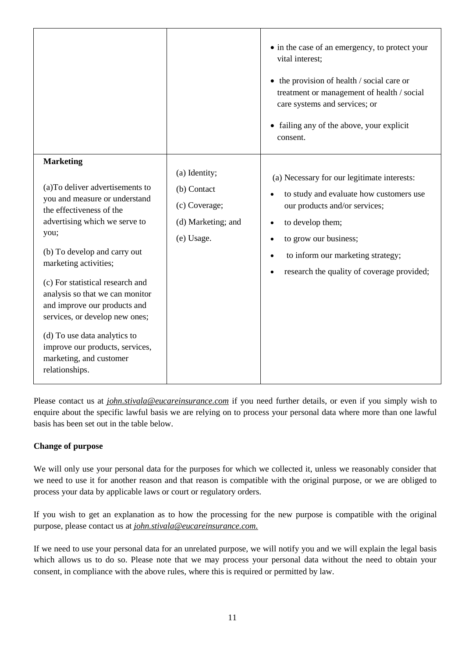|                                                                                                                                                                                                                                                                                                                                                                                                                                                                              |                                                                                   | • in the case of an emergency, to protect your<br>vital interest;<br>$\bullet$ the provision of health / social care or<br>treatment or management of health / social<br>care systems and services; or<br>• failing any of the above, your explicit<br>consent.                                             |
|------------------------------------------------------------------------------------------------------------------------------------------------------------------------------------------------------------------------------------------------------------------------------------------------------------------------------------------------------------------------------------------------------------------------------------------------------------------------------|-----------------------------------------------------------------------------------|-------------------------------------------------------------------------------------------------------------------------------------------------------------------------------------------------------------------------------------------------------------------------------------------------------------|
| <b>Marketing</b><br>(a) To deliver advertisements to<br>you and measure or understand<br>the effectiveness of the<br>advertising which we serve to<br>you;<br>(b) To develop and carry out<br>marketing activities;<br>(c) For statistical research and<br>analysis so that we can monitor<br>and improve our products and<br>services, or develop new ones;<br>(d) To use data analytics to<br>improve our products, services,<br>marketing, and customer<br>relationships. | (a) Identity;<br>(b) Contact<br>(c) Coverage;<br>(d) Marketing; and<br>(e) Usage. | (a) Necessary for our legitimate interests:<br>to study and evaluate how customers use<br>our products and/or services;<br>to develop them;<br>$\bullet$<br>to grow our business;<br>$\bullet$<br>to inform our marketing strategy;<br>$\bullet$<br>research the quality of coverage provided;<br>$\bullet$ |

Please contact us at *[john.stivala@eucareinsurance.com](mailto:john_stivala@jltgroup.com)* if you need further details, or even if you simply wish to enquire about the specific lawful basis we are relying on to process your personal data where more than one lawful basis has been set out in the table below.

# **Change of purpose**

We will only use your personal data for the purposes for which we collected it, unless we reasonably consider that we need to use it for another reason and that reason is compatible with the original purpose, or we are obliged to process your data by applicable laws or court or regulatory orders.

If you wish to get an explanation as to how the processing for the new purpose is compatible with the original purpose, please [contact us](#page-1-0) at *[john.stivala@eucareinsurance.com.](mailto:john_stivala@jltgroup.com)*

If we need to use your personal data for an unrelated purpose, we will notify you and we will explain the legal basis which allows us to do so. Please note that we may process your personal data without the need to obtain your consent, in compliance with the above rules, where this is required or permitted by law.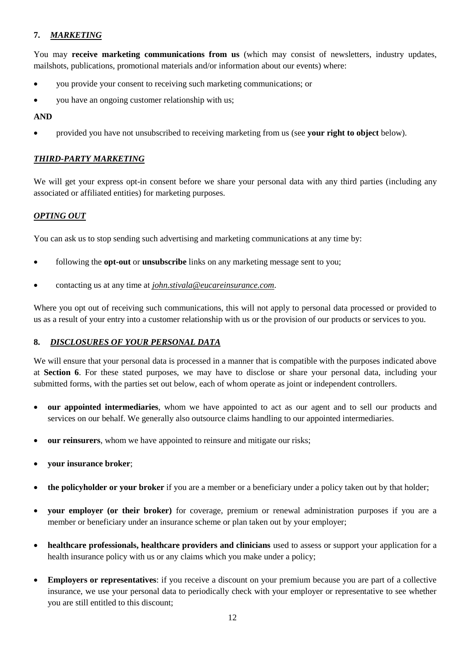## <span id="page-11-0"></span>**7.** *MARKETING*

You may **receive marketing communications from us** (which may consist of newsletters, industry updates, mailshots, publications, promotional materials and/or information about our events) where:

- you provide your consent to receiving such marketing communications; or
- you have an ongoing customer relationship with us;

#### **AND**

• provided you have not unsubscribed to receiving marketing from us (see **your right to object** below).

### *THIRD-PARTY MARKETING*

We will get your express opt-in consent before we share your personal data with any third parties (including any associated or affiliated entities) for marketing purposes.

### *OPTING OUT*

You can ask us to stop sending such advertising and marketing communications at any time by:

- following the **opt-out** or **unsubscribe** links on any marketing message sent to you;
- contacting us at any time at *[john.stivala@eucareinsurance.com](mailto:john_stivala@jltgroup.com)*.

Where you opt out of receiving such communications, this will not apply to personal data processed or provided to us as a result of your entry into a customer relationship with us or the provision of our products or services to you.

### **8.** *DISCLOSURES OF YOUR PERSONAL DATA*

We will ensure that your personal data is processed in a manner that is compatible with the purposes indicated above at **Section [6](#page-6-0)**. For these stated purposes, we may have to disclose or share your personal data, including your submitted forms, with the parties set out below, each of whom operate as joint or independent controllers.

- **our appointed intermediaries**, whom we have appointed to act as our agent and to sell our products and services on our behalf. We generally also outsource claims handling to our appointed intermediaries.
- **our reinsurers**, whom we have appointed to reinsure and mitigate our risks;
- **your insurance broker**;
- **the policyholder or your broker** if you are a member or a beneficiary under a policy taken out by that holder;
- **your employer (or their broker)** for coverage, premium or renewal administration purposes if you are a member or beneficiary under an insurance scheme or plan taken out by your employer;
- **healthcare professionals, healthcare providers and clinicians** used to assess or support your application for a health insurance policy with us or any claims which you make under a policy;
- **Employers or representatives**: if you receive a discount on your premium because you are part of a collective insurance, we use your personal data to periodically check with your employer or representative to see whether you are still entitled to this discount;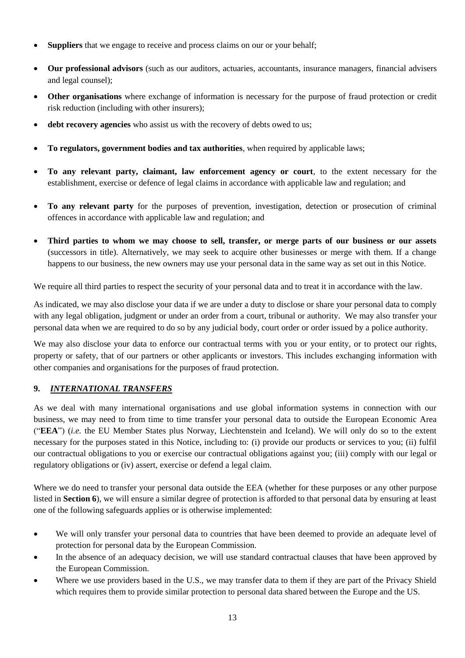- **Suppliers** that we engage to receive and process claims on our or your behalf;
- **Our professional advisors** (such as our auditors, actuaries, accountants, insurance managers, financial advisers and legal counsel);
- **Other organisations** where exchange of information is necessary for the purpose of fraud protection or credit risk reduction (including with other insurers);
- **debt recovery agencies** who assist us with the recovery of debts owed to us;
- **To regulators, government bodies and tax authorities**, when required by applicable laws;
- **To any relevant party, claimant, law enforcement agency or court**, to the extent necessary for the establishment, exercise or defence of legal claims in accordance with applicable law and regulation; and
- **To any relevant party** for the purposes of prevention, investigation, detection or prosecution of criminal offences in accordance with applicable law and regulation; and
- **Third parties to whom we may choose to sell, transfer, or merge parts of our business or our assets**  (successors in title). Alternatively, we may seek to acquire other businesses or merge with them. If a change happens to our business, the new owners may use your personal data in the same way as set out in this Notice.

We require all third parties to respect the security of your personal data and to treat it in accordance with the law.

As indicated, we may also disclose your data if we are under a duty to disclose or share your personal data to comply with any legal obligation, judgment or under an order from a court, tribunal or authority. We may also transfer your personal data when we are required to do so by any judicial body, court order or order issued by a police authority.

We may also disclose your data to enforce our contractual terms with you or your entity, or to protect our rights, property or safety, that of our partners or other applicants or investors. This includes exchanging information with other companies and organisations for the purposes of fraud protection.

# **9.** *INTERNATIONAL TRANSFERS*

As we deal with many international organisations and use global information systems in connection with our business, we may need to from time to time transfer your personal data to outside the European Economic Area ("**EEA**") (*i.e.* the EU Member States plus Norway, Liechtenstein and Iceland). We will only do so to the extent necessary for the purposes stated in this Notice, including to: (i) provide our products or services to you; (ii) fulfil our contractual obligations to you or exercise our contractual obligations against you; (iii) comply with our legal or regulatory obligations or (iv) assert, exercise or defend a legal claim.

Where we do need to transfer your personal data outside the EEA (whether for these purposes or any other purpose listed in **Section [6](#page-6-0)**), we will ensure a similar degree of protection is afforded to that personal data by ensuring at least one of the following safeguards applies or is otherwise implemented:

- We will only transfer your personal data to countries that have been deemed to provide an adequate level of protection for personal data by the European Commission.
- In the absence of an adequacy decision, we will use standard contractual clauses that have been approved by the European Commission.
- Where we use providers based in the U.S., we may transfer data to them if they are part of the Privacy Shield which requires them to provide similar protection to personal data shared between the Europe and the US.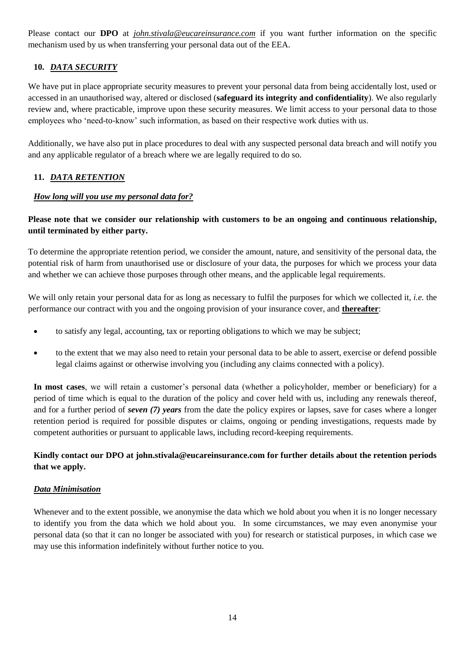Please contact our **DPO** at *[john.stivala@eucareinsurance.com](mailto:john_stivala@jltgroup.com)* if you want further information on the specific mechanism used by us when transferring your personal data out of the EEA.

# **10.** *DATA SECURITY*

We have put in place appropriate security measures to prevent your personal data from being accidentally lost, used or accessed in an unauthorised way, altered or disclosed (**safeguard its integrity and confidentiality**). We also regularly review and, where practicable, improve upon these security measures. We limit access to your personal data to those employees who 'need-to-know' such information, as based on their respective work duties with us.

Additionally, we have also put in place procedures to deal with any suspected personal data breach and will notify you and any applicable regulator of a breach where we are legally required to do so.

# **11.** *DATA RETENTION*

### *How long will you use my personal data for?*

### **Please note that we consider our relationship with customers to be an ongoing and continuous relationship, until terminated by either party.**

To determine the appropriate retention period, we consider the amount, nature, and sensitivity of the personal data, the potential risk of harm from unauthorised use or disclosure of your data, the purposes for which we process your data and whether we can achieve those purposes through other means, and the applicable legal requirements.

We will only retain your personal data for as long as necessary to fulfil the purposes for which we collected it, *i.e.* the performance our contract with you and the ongoing provision of your insurance cover, and **thereafter**:

- to satisfy any legal, accounting, tax or reporting obligations to which we may be subject;
- to the extent that we may also need to retain your personal data to be able to assert, exercise or defend possible legal claims against or otherwise involving you (including any claims connected with a policy).

**In most cases**, we will retain a customer's personal data (whether a policyholder, member or beneficiary) for a period of time which is equal to the duration of the policy and cover held with us, including any renewals thereof, and for a further period of *seven (7) years* from the date the policy expires or lapses, save for cases where a longer retention period is required for possible disputes or claims, ongoing or pending investigations, requests made by competent authorities or pursuant to applicable laws, including record-keeping requirements.

# **Kindly contact our DPO at [john.stivala@eucareinsurance.com](mailto:john_stivala@jltgroup.com) for further details about the retention periods that we apply.**

### *Data Minimisation*

Whenever and to the extent possible, we anonymise the data which we hold about you when it is no longer necessary to identify you from the data which we hold about you. In some circumstances, we may even anonymise your personal data (so that it can no longer be associated with you) for research or statistical purposes, in which case we may use this information indefinitely without further notice to you.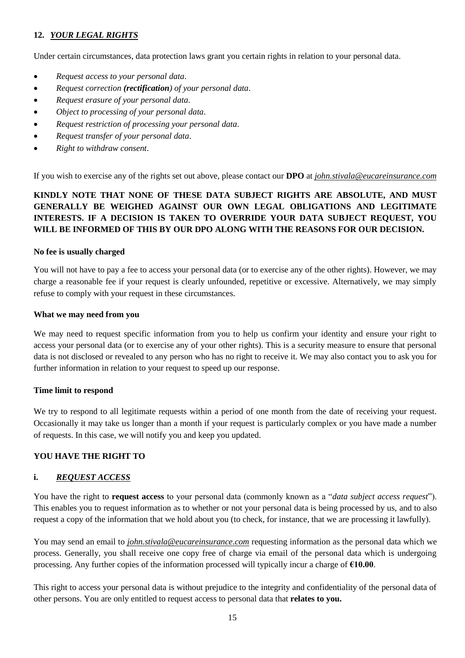# <span id="page-14-0"></span>**12.** *YOUR LEGAL RIGHTS*

Under certain circumstances, data protection laws grant you certain rights in relation to your personal data.

- *Request access to your personal data*.
- *Request correction (rectification) of your personal data*.
- *Request erasure of your personal data*.
- *Object to processing of your personal data*.
- *Request restriction of processing your personal data*.
- *Request transfer of your personal data*.
- *Right to withdraw consent*.

If you wish to exercise any of the rights set out above, please contact our **DPO** at *[john.stivala@eucareinsurance.com](mailto:john_stivala@jltgroup.com)*

# **KINDLY NOTE THAT NONE OF THESE DATA SUBJECT RIGHTS ARE ABSOLUTE, AND MUST GENERALLY BE WEIGHED AGAINST OUR OWN LEGAL OBLIGATIONS AND LEGITIMATE INTERESTS. IF A DECISION IS TAKEN TO OVERRIDE YOUR DATA SUBJECT REQUEST, YOU WILL BE INFORMED OF THIS BY OUR DPO ALONG WITH THE REASONS FOR OUR DECISION.**

### **No fee is usually charged**

You will not have to pay a fee to access your personal data (or to exercise any of the other rights). However, we may charge a reasonable fee if your request is clearly unfounded, repetitive or excessive. Alternatively, we may simply refuse to comply with your request in these circumstances.

#### **What we may need from you**

We may need to request specific information from you to help us confirm your identity and ensure your right to access your personal data (or to exercise any of your other rights). This is a security measure to ensure that personal data is not disclosed or revealed to any person who has no right to receive it. We may also contact you to ask you for further information in relation to your request to speed up our response.

### **Time limit to respond**

We try to respond to all legitimate requests within a period of one month from the date of receiving your request. Occasionally it may take us longer than a month if your request is particularly complex or you have made a number of requests. In this case, we will notify you and keep you updated.

### **YOU HAVE THE RIGHT TO**

### **i.** *REQUEST ACCESS*

You have the right to **request access** to your personal data (commonly known as a "*data subject access request*"). This enables you to request information as to whether or not your personal data is being processed by us, and to also request a copy of the information that we hold about you (to check, for instance, that we are processing it lawfully).

You may send an email to *[john.stivala@eucareinsurance.com](mailto:john_stivala@jltgroup.com)* requesting information as the personal data which we process. Generally, you shall receive one copy free of charge via email of the personal data which is undergoing processing. Any further copies of the information processed will typically incur a charge of **€10.00**.

This right to access your personal data is without prejudice to the integrity and confidentiality of the personal data of other persons. You are only entitled to request access to personal data that **relates to you.**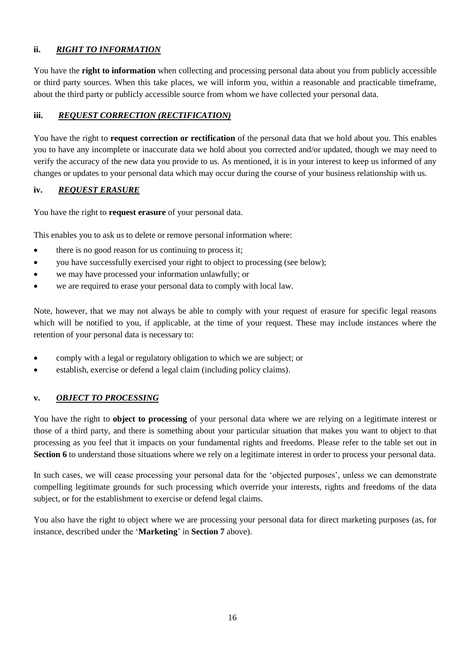## **ii.** *RIGHT TO INFORMATION*

You have the **right to information** when collecting and processing personal data about you from publicly accessible or third party sources. When this take places, we will inform you, within a reasonable and practicable timeframe, about the third party or publicly accessible source from whom we have collected your personal data.

### **iii.** *REQUEST CORRECTION (RECTIFICATION)*

You have the right to **request correction or rectification** of the personal data that we hold about you. This enables you to have any incomplete or inaccurate data we hold about you corrected and/or updated, though we may need to verify the accuracy of the new data you provide to us. As mentioned, it is in your interest to keep us informed of any changes or updates to your personal data which may occur during the course of your business relationship with us.

### **iv.** *REQUEST ERASURE*

You have the right to **request erasure** of your personal data.

This enables you to ask us to delete or remove personal information where:

- there is no good reason for us continuing to process it;
- you have successfully exercised your right to object to processing (see below);
- we may have processed your information unlawfully; or
- we are required to erase your personal data to comply with local law.

Note, however, that we may not always be able to comply with your request of erasure for specific legal reasons which will be notified to you, if applicable, at the time of your request. These may include instances where the retention of your personal data is necessary to:

- comply with a legal or regulatory obligation to which we are subject; or
- establish, exercise or defend a legal claim (including policy claims).

# **v.** *OBJECT TO PROCESSING*

You have the right to **object to processing** of your personal data where we are relying on a legitimate interest or those of a third party, and there is something about your particular situation that makes you want to object to that processing as you feel that it impacts on your fundamental rights and freedoms. Please refer to the table set out in **Section 6** to understand those situations where we rely on a legitimate interest in order to process your personal data.

In such cases, we will cease processing your personal data for the 'objected purposes', unless we can demonstrate compelling legitimate grounds for such processing which override your interests, rights and freedoms of the data subject, or for the establishment to exercise or defend legal claims.

You also have the right to object where we are processing your personal data for direct marketing purposes (as, for instance, described under the '**Marketing**' in **Section [7](#page-11-0)** above).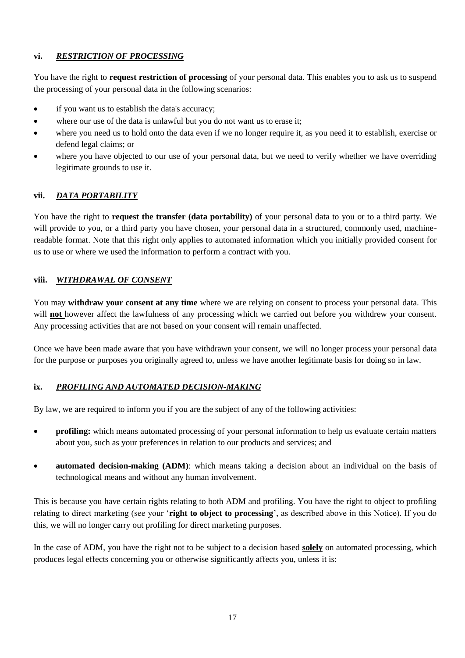### **vi.** *RESTRICTION OF PROCESSING*

You have the right to **request restriction of processing** of your personal data. This enables you to ask us to suspend the processing of your personal data in the following scenarios:

- if you want us to establish the data's accuracy;
- where our use of the data is unlawful but you do not want us to erase it;
- where you need us to hold onto the data even if we no longer require it, as you need it to establish, exercise or defend legal claims; or
- where you have objected to our use of your personal data, but we need to verify whether we have overriding legitimate grounds to use it.

### **vii.** *DATA PORTABILITY*

You have the right to **request the transfer (data portability)** of your personal data to you or to a third party. We will provide to you, or a third party you have chosen, your personal data in a structured, commonly used, machinereadable format. Note that this right only applies to automated information which you initially provided consent for us to use or where we used the information to perform a contract with you.

### **viii.** *WITHDRAWAL OF CONSENT*

You may **withdraw your consent at any time** where we are relying on consent to process your personal data. This will **not** however affect the lawfulness of any processing which we carried out before you withdrew your consent. Any processing activities that are not based on your consent will remain unaffected.

Once we have been made aware that you have withdrawn your consent, we will no longer process your personal data for the purpose or purposes you originally agreed to, unless we have another legitimate basis for doing so in law.

# **ix.** *PROFILING AND AUTOMATED DECISION-MAKING*

By law, we are required to inform you if you are the subject of any of the following activities:

- **profiling:** which means automated processing of your personal information to help us evaluate certain matters about you, such as your preferences in relation to our products and services; and
- **automated decision-making (ADM)**: which means taking a decision about an individual on the basis of technological means and without any human involvement.

This is because you have certain rights relating to both ADM and profiling. You have the right to object to profiling relating to direct marketing (see your '**right to object to processing**', as described above in this Notice). If you do this, we will no longer carry out profiling for direct marketing purposes.

In the case of ADM, you have the right not to be subject to a decision based **solely** on automated processing, which produces legal effects concerning you or otherwise significantly affects you, unless it is: